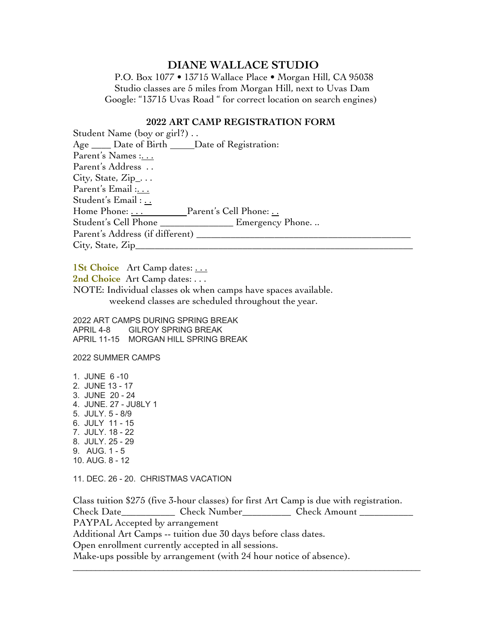## **DIANE WALLACE STUDIO**

 P.O. Box 1077 • 13715 Wallace Place • Morgan Hill, CA 95038 Studio classes are 5 miles from Morgan Hill, next to Uvas Dam Google: "13715 Uvas Road " for correct location on search engines)

## **2022 ART CAMP REGISTRATION FORM**

Student Name (boy or girl?) . . Age \_\_\_\_\_ Date of Birth \_\_\_\_\_ Date of Registration: Parent's Names :. . . Parent's Address . . City, State, Zip\_. . . Parent's Email :... Student's Email : ... Home Phone: ... Parent's Cell Phone: .. Student's Cell Phone \_\_\_\_\_\_\_\_\_\_\_\_\_\_\_ Emergency Phone. .. Parent's Address (if different)  $City, State, Zip$ 

**1St Choice** Art Camp dates: . . .

**2nd Choice** Art Camp dates: . . .

NOTE: Individual classes ok when camps have spaces available. weekend classes are scheduled throughout the year.

2022 ART CAMPS DURING SPRING BREAK APRIL 4-8 GILROY SPRING BREAK APRIL 11-15 MORGAN HILL SPRING BREAK

2022 SUMMER CAMPS

1. JUNE 6 -10 2. JUNE 13 - 17 3. JUNE 20 - 24 4. JUNE. 27 - JU8LY 1 5. JULY. 5 - 8/9 6. JULY 11 - 15 7. JULY. 18 - 22 8. JULY. 25 - 29 9. AUG. 1 - 5 10. AUG. 8 - 12

11. DEC. 26 - 20. CHRISTMAS VACATION

Class tuition \$275 (five 3-hour classes) for first Art Camp is due with registration. Check Date\_\_\_\_\_\_\_\_\_\_\_\_\_ Check Number\_\_\_\_\_\_\_\_\_\_\_ Check Amount \_\_\_\_\_\_\_\_\_\_\_\_ PAYPAL Accepted by arrangement Additional Art Camps -- tuition due 30 days before class dates. Open enrollment currently accepted in all sessions. Make-ups possible by arrangement (with 24 hour notice of absence).

 $\mathcal{L}_\text{max}$  and  $\mathcal{L}_\text{max}$  and  $\mathcal{L}_\text{max}$  and  $\mathcal{L}_\text{max}$  and  $\mathcal{L}_\text{max}$  and  $\mathcal{L}_\text{max}$